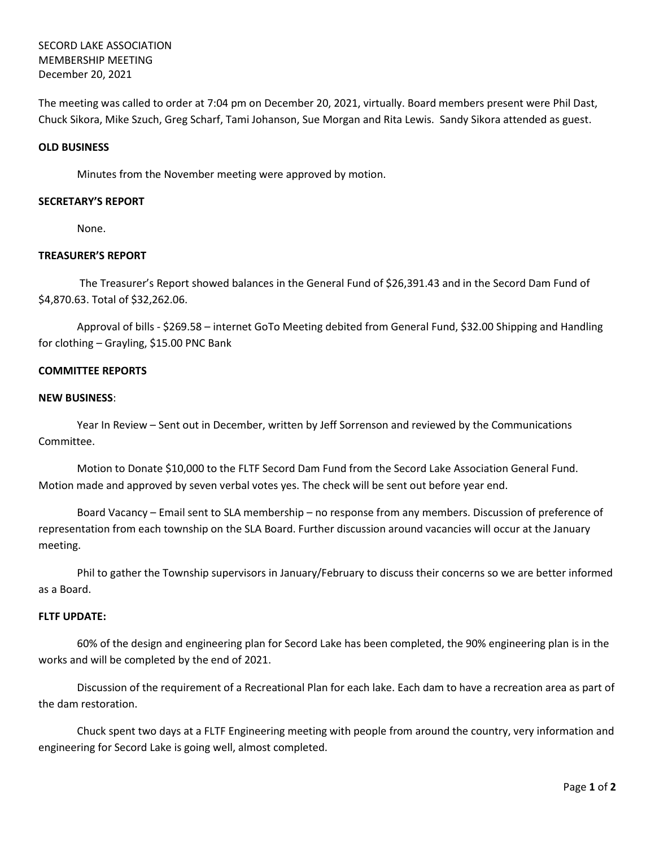SECORD LAKE ASSOCIATION MEMBERSHIP MEETING December 20, 2021

The meeting was called to order at 7:04 pm on December 20, 2021, virtually. Board members present were Phil Dast, Chuck Sikora, Mike Szuch, Greg Scharf, Tami Johanson, Sue Morgan and Rita Lewis. Sandy Sikora attended as guest.

## **OLD BUSINESS**

Minutes from the November meeting were approved by motion.

### **SECRETARY'S REPORT**

None.

# **TREASURER'S REPORT**

The Treasurer's Report showed balances in the General Fund of \$26,391.43 and in the Secord Dam Fund of \$4,870.63. Total of \$32,262.06.

Approval of bills - \$269.58 – internet GoTo Meeting debited from General Fund, \$32.00 Shipping and Handling for clothing – Grayling, \$15.00 PNC Bank

## **COMMITTEE REPORTS**

#### **NEW BUSINESS**:

Year In Review – Sent out in December, written by Jeff Sorrenson and reviewed by the Communications Committee.

Motion to Donate \$10,000 to the FLTF Secord Dam Fund from the Secord Lake Association General Fund. Motion made and approved by seven verbal votes yes. The check will be sent out before year end.

Board Vacancy – Email sent to SLA membership – no response from any members. Discussion of preference of representation from each township on the SLA Board. Further discussion around vacancies will occur at the January meeting.

Phil to gather the Township supervisors in January/February to discuss their concerns so we are better informed as a Board.

#### **FLTF UPDATE:**

60% of the design and engineering plan for Secord Lake has been completed, the 90% engineering plan is in the works and will be completed by the end of 2021.

Discussion of the requirement of a Recreational Plan for each lake. Each dam to have a recreation area as part of the dam restoration.

Chuck spent two days at a FLTF Engineering meeting with people from around the country, very information and engineering for Secord Lake is going well, almost completed.